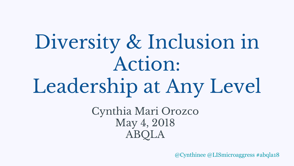# Diversity & Inclusion in Action: Leadership at Any Level

Cynthia Mari Orozco May 4, 2018 ABQLA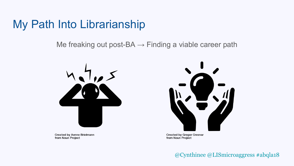### My Path Into Librarianship

Me freaking out post-BA  $\rightarrow$  Finding a viable career path



**Created by Aenne Brielmann** from Noun Project



**Created by Gregor Cresnar** from Noun Project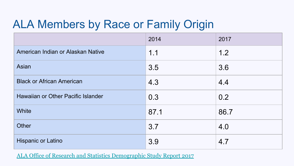## ALA Members by Race or Family Origin

|                                    | 2014 | 2017 |
|------------------------------------|------|------|
| American Indian or Alaskan Native  | 1.1  | 1.2  |
| Asian                              | 3.5  | 3.6  |
| <b>Black or African American</b>   | 4.3  | 4.4  |
| Hawaiian or Other Pacific Islander | 0.3  | 0.2  |
| White                              | 87.1 | 86.7 |
| <b>Other</b>                       | 3.7  | 4.0  |
| Hispanic or Latino                 | 3.9  | 4.7  |

[ALA Office of Research and Statistics Demographic Study Report 2017](http://www.ala.org/tools/sites/ala.org.tools/files/content/Draft%20of%20Member%20Demographics%20Survey%2001-11-2017.pdf)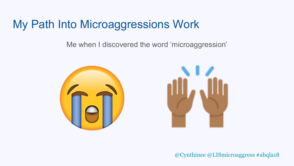### My Path Into Microaggressions Work

Me when I discovered the word 'microaggression'



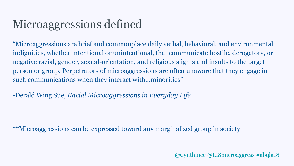## Microaggressions defined

"Microaggressions are brief and commonplace daily verbal, behavioral, and environmental indignities, whether intentional or unintentional, that communicate hostile, derogatory, or negative racial, gender, sexual-orientation, and religious slights and insults to the target person or group. Perpetrators of microaggressions are often unaware that they engage in such communications when they interact with…minorities"

-Derald Wing Sue, *Racial Microaggressions in Everyday Life*

\*\*Microaggressions can be expressed toward any marginalized group in society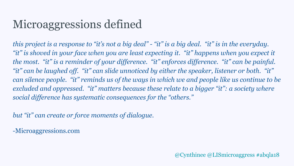## Microaggressions defined

*this project is a response to "it's not a big deal" - "it" is a big deal. "it" is in the everyday. "it" is shoved in your face when you are least expecting it. "it" happens when you expect it the most. "it" is a reminder of your difference. "it" enforces difference. "it" can be painful. "it" can be laughed off. "it" can slide unnoticed by either the speaker, listener or both. "it" can silence people. "it" reminds us of the ways in which we and people like us continue to be excluded and oppressed. "it" matters because these relate to a bigger "it": a society where social difference has systematic consequences for the "others."* 

*but "it" can create or force moments of dialogue.* 

-Microaggressions.com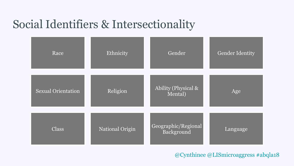## Social Identifiers & Intersectionality

| Race                      | Ethnicity              | Gender                            | <b>Gender Identity</b> |
|---------------------------|------------------------|-----------------------------------|------------------------|
| <b>Sexual Orientation</b> | Religion               | Ability (Physical &<br>Mental)    | Age                    |
| <b>Class</b>              | <b>National Origin</b> | Geographic/Regional<br>Background | Language               |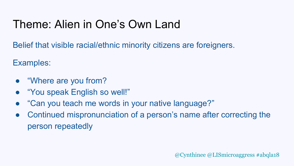## Theme: Alien in One's Own Land

Belief that visible racial/ethnic minority citizens are foreigners.

Examples:

- "Where are you from?
- **"You speak English so well!"**
- "Can you teach me words in your native language?"
- Continued mispronunciation of a person's name after correcting the person repeatedly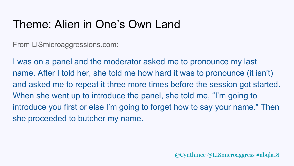## Theme: Alien in One's Own Land

From LISmicroaggressions.com:

I was on a panel and the moderator asked me to pronounce my last name. After I told her, she told me how hard it was to pronounce (it isn't) and asked me to repeat it three more times before the session got started. When she went up to introduce the panel, she told me, "I'm going to introduce you first or else I'm going to forget how to say your name." Then she proceeded to butcher my name.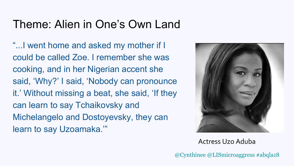## Theme: Alien in One's Own Land

"...I went home and asked my mother if I could be called Zoe. I remember she was cooking, and in her Nigerian accent she said, 'Why?' I said, 'Nobody can pronounce it.' Without missing a beat, she said, 'If they can learn to say Tchaikovsky and Michelangelo and Dostoyevsky, they can learn to say Uzoamaka.'"



Actress Uzo Aduba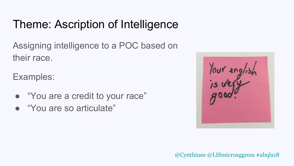## Theme: Ascription of Intelligence

Assigning intelligence to a POC based on their race.

Examples:

- "You are a credit to your race"
- "You are so articulate"

Your english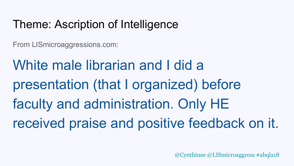## Theme: Ascription of Intelligence

From LISmicroaggressions.com:

White male librarian and I did a presentation (that I organized) before faculty and administration. Only HE received praise and positive feedback on it.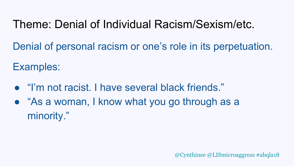## Theme: Denial of Individual Racism/Sexism/etc.

Denial of personal racism or one's role in its perpetuation.

Examples:

- "I'm not racist. I have several black friends."
- "As a woman, I know what you go through as a minority."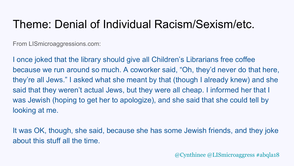### Theme: Denial of Individual Racism/Sexism/etc.

From LISmicroaggressions.com:

I once joked that the library should give all Children's Librarians free coffee because we run around so much. A coworker said, "Oh, they'd never do that here, they're all Jews." I asked what she meant by that (though I already knew) and she said that they weren't actual Jews, but they were all cheap. I informed her that I was Jewish (hoping to get her to apologize), and she said that she could tell by looking at me.

It was OK, though, she said, because she has some Jewish friends, and they joke about this stuff all the time.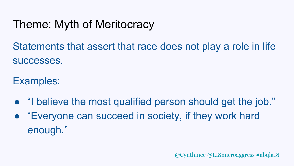## Theme: Myth of Meritocracy

Statements that assert that race does not play a role in life successes.

Examples:

- "I believe the most qualified person should get the job."
- "Everyone can succeed in society, if they work hard enough."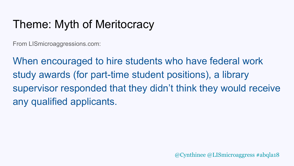## Theme: Myth of Meritocracy

From LISmicroaggressions.com:

When encouraged to hire students who have federal work study awards (for part-time student positions), a library supervisor responded that they didn't think they would receive any qualified applicants.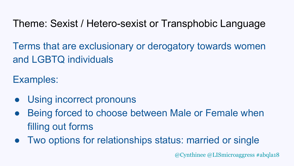Theme: Sexist / Hetero-sexist or Transphobic Language

Terms that are exclusionary or derogatory towards women and LGBTQ individuals

Examples:

- Using incorrect pronouns
- Being forced to choose between Male or Female when filling out forms
- Two options for relationships status: married or single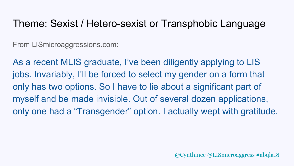#### Theme: Sexist / Hetero-sexist or Transphobic Language

From LISmicroaggressions.com:

As a recent MLIS graduate, I've been diligently applying to LIS jobs. Invariably, I'll be forced to select my gender on a form that only has two options. So I have to lie about a significant part of myself and be made invisible. Out of several dozen applications, only one had a "Transgender" option. I actually wept with gratitude.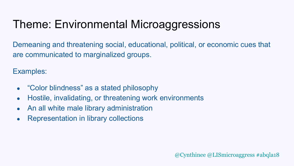## Theme: Environmental Microaggressions

Demeaning and threatening social, educational, political, or economic cues that are communicated to marginalized groups.

Examples:

- "Color blindness" as a stated philosophy
- Hostile, invalidating, or threatening work environments
- An all white male library administration
- Representation in library collections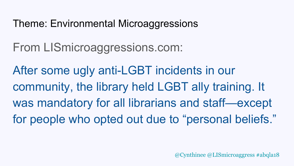#### Theme: Environmental Microaggressions

From LISmicroaggressions.com:

After some ugly anti-LGBT incidents in our community, the library held LGBT ally training. It was mandatory for all librarians and staff—except for people who opted out due to "personal beliefs."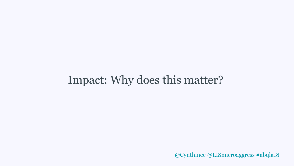## Impact: Why does this matter?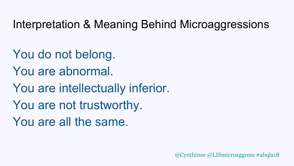## Interpretation & Meaning Behind Microaggressions

You do not belong. You are abnormal. You are intellectually inferior. You are not trustworthy. You are all the same.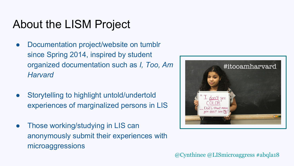## About the LISM Project

- Documentation project/website on tumblr since Spring 2014, inspired by student organized documentation such as *I, Too, Am Harvard*
- Storytelling to highlight untold/undertold experiences of marginalized persons in LIS
- Those working/studying in LIS can anonymously submit their experiences with microaggressions

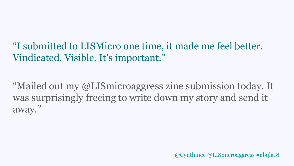"I submitted to LISMicro one time, it made me feel better. Vindicated. Visible. It's important."

"Mailed out my @LISmicroaggress zine submission today. It was surprisingly freeing to write down my story and send it away."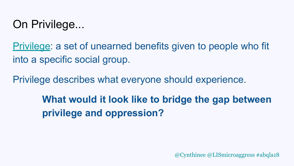## On Privilege...

[Privilege](https://everydayfeminism.com/2014/09/what-is-privilege/): a set of unearned benefits given to people who fit into a specific social group.

Privilege describes what everyone should experience.

**What would it look like to bridge the gap between privilege and oppression?**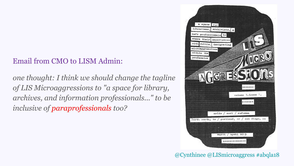#### Email from CMO to LISM Admin:

*one thought: I think we should change the tagline of LIS Microaggressions to "a space for library, archives, and information professionals..." to be inclusive of paraprofessionals too?* 



@Cynthinee @LISmicroaggress #abqla18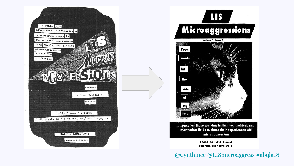



information fields to share their experiences with microaggressions

> **APALA 35 - ALA Annual** San Francisco • June 2015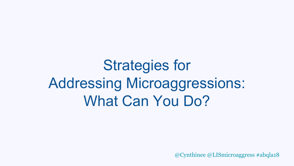## Strategies for Addressing Microaggressions: What Can You Do?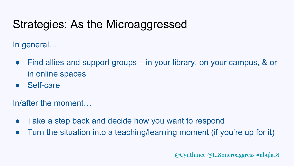## Strategies: As the Microaggressed

In general…

- Find allies and support groups in your library, on your campus, & or in online spaces
- Self-care

In/after the moment…

- Take a step back and decide how you want to respond
- Turn the situation into a teaching/learning moment (if you're up for it)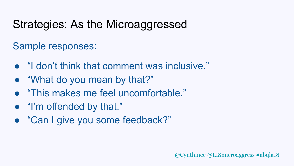## Strategies: As the Microaggressed

#### Sample responses:

- "I don't think that comment was inclusive."
- "What do you mean by that?"
- "This makes me feel uncomfortable."
- "I'm offended by that."
- "Can I give you some feedback?"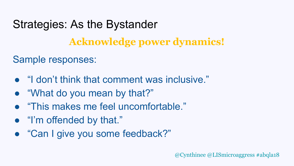## Strategies: As the Bystander

### **Acknowledge power dynamics!**

#### Sample responses:

- "I don't think that comment was inclusive."
- "What do you mean by that?"
- "This makes me feel uncomfortable."
- "I'm offended by that."
- "Can I give you some feedback?"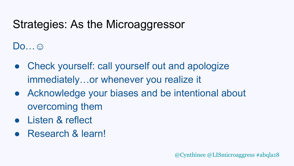## Strategies: As the Microaggressor

 $Do...$ 

- Check yourself: call yourself out and apologize immediately…or whenever you realize it
- Acknowledge your biases and be intentional about overcoming them
- Listen & reflect
- Research & learn!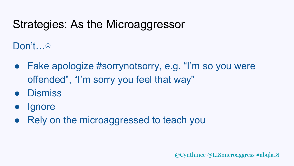## Strategies: As the Microaggressor

Don't…☹

- Fake apologize #sorrynotsorry, e.g. "I'm so you were offended", "I'm sorry you feel that way"
- Dismiss
- **Ignore**
- Rely on the microaggressed to teach you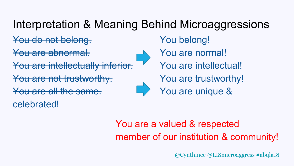## Interpretation & Meaning Behind Microaggressions

You do not belong. The Mou belong!

You are abnormal. **A** You are normal!

You are intellectually inferior. You are intellectual!

<del>You are not trustworthy.</del> The Moulare trustworthy!

You are all the same.<br>You are unique &

celebrated!

### You are a valued & respected member of our institution & community!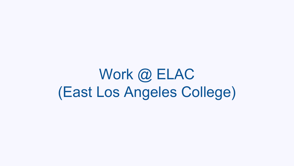Work @ ELAC (East Los Angeles College)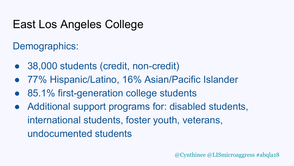## East Los Angeles College

Demographics:

- 38,000 students (credit, non-credit)
- 77% Hispanic/Latino, 16% Asian/Pacific Islander
- 85.1% first-generation college students
- Additional support programs for: disabled students, international students, foster youth, veterans, undocumented students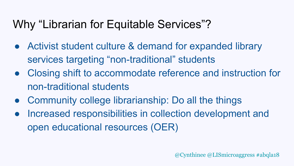## Why "Librarian for Equitable Services"?

- Activist student culture & demand for expanded library services targeting "non-traditional" students
- Closing shift to accommodate reference and instruction for non-traditional students
- Community college librarianship: Do all the things
- Increased responsibilities in collection development and open educational resources (OER)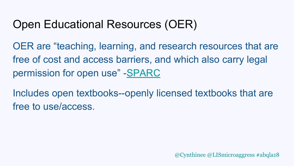## Open Educational Resources (OER)

OER are "teaching, learning, and research resources that are free of cost and access barriers, and which also carry legal permission for open use" -[SPARC](https://sparcopen.org/open-education/)

Includes open textbooks--openly licensed textbooks that are free to use/access.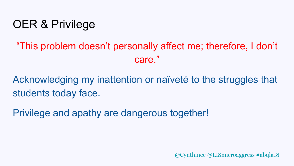## OER & Privilege

### "This problem doesn't personally affect me; therefore, I don't care."

Acknowledging my inattention or naïveté to the struggles that students today face.

Privilege and apathy are dangerous together!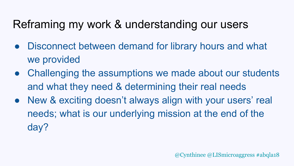## Reframing my work & understanding our users

- Disconnect between demand for library hours and what we provided
- Challenging the assumptions we made about our students and what they need & determining their real needs
- New & exciting doesn't always align with your users' real needs; what is our underlying mission at the end of the day?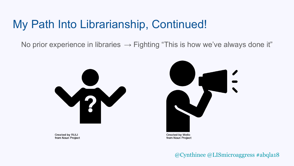### My Path Into Librarianship, Continued!

No prior experience in libraries  $\rightarrow$  Fighting "This is how we've always done it"



**Created by RULI** from Noun Project

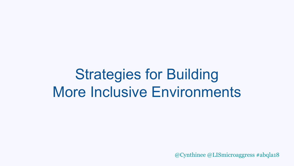## Strategies for Building More Inclusive Environments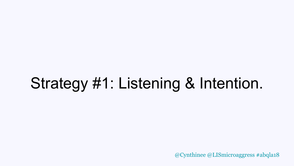## Strategy #1: Listening & Intention.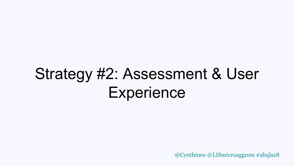## Strategy #2: Assessment & User **Experience**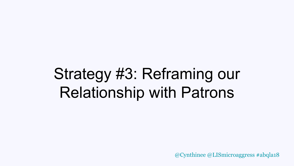## Strategy #3: Reframing our Relationship with Patrons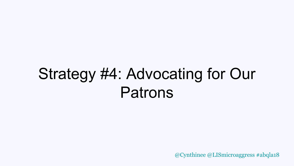## Strategy #4: Advocating for Our Patrons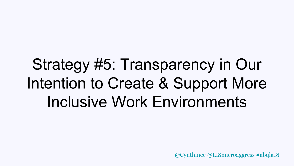## Strategy #5: Transparency in Our Intention to Create & Support More Inclusive Work Environments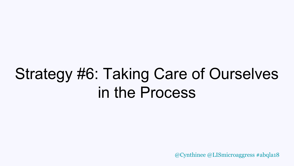## Strategy #6: Taking Care of Ourselves in the Process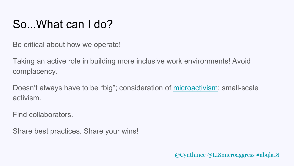## So...What can I do?

Be critical about how we operate!

Taking an active role in building more inclusive work environments! Avoid complacency.

Doesn't always have to be "big"; consideration of [microactivism:](https://crln.acrl.org/index.php/crlnews/article/view/9292/10371) small-scale activism.

Find collaborators.

Share best practices. Share your wins!